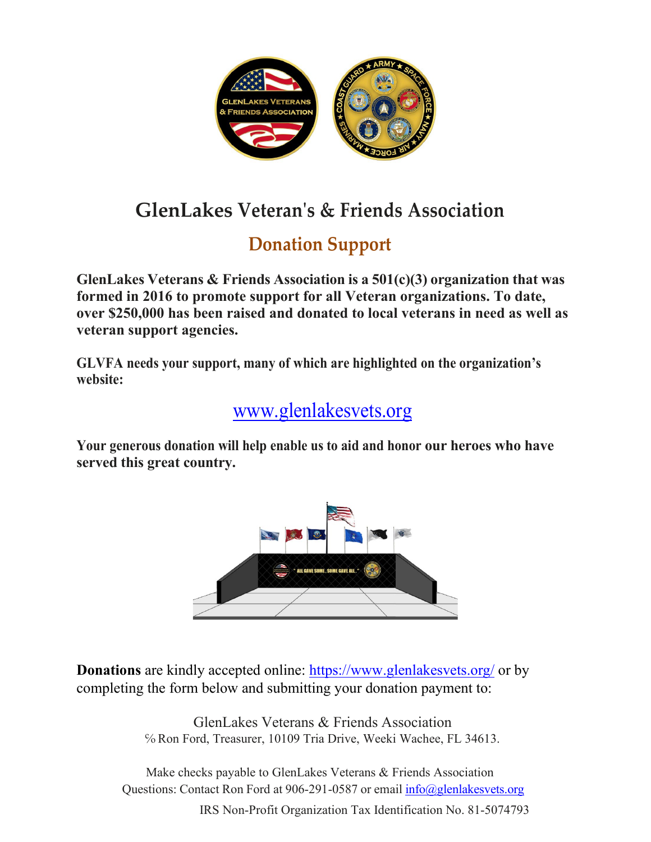

## **GlenLakes Veteran's & Friends Association**

## **Donation Support**

**GlenLakes Veterans & Friends Association is a 501(c)(3) organization that was formed in 2016 to promote support for all Veteran organizations. To date, over \$250,000 has been raised and donated to local veterans in need as well as veteran support agencies.**

**GLVFA needs your support, many of which are highlighted on the organization's website:**

[www.glenlakesvets.org](http://www.glenlakesvets.org/)

**Your generous donation will help enable us to aid and honor our heroes who have served this great country.** 



**Donations** are kindly accepted online:<https://www.glenlakesvets.org/> or by completing the form below and submitting your donation payment to:

> GlenLakes Veterans & Friends Association ℅ Ron Ford, Treasurer, 10109 Tria Drive, Weeki Wachee, FL 34613.

Make checks payable to GlenLakes Veterans & Friends Association Questions: Contact Ron Ford at 906-291-0587 or email [info@glenlakesvets.org](mailto:info@glenlakesvets.org)

IRS Non-Profit Organization Tax Identification No. 81-5074793